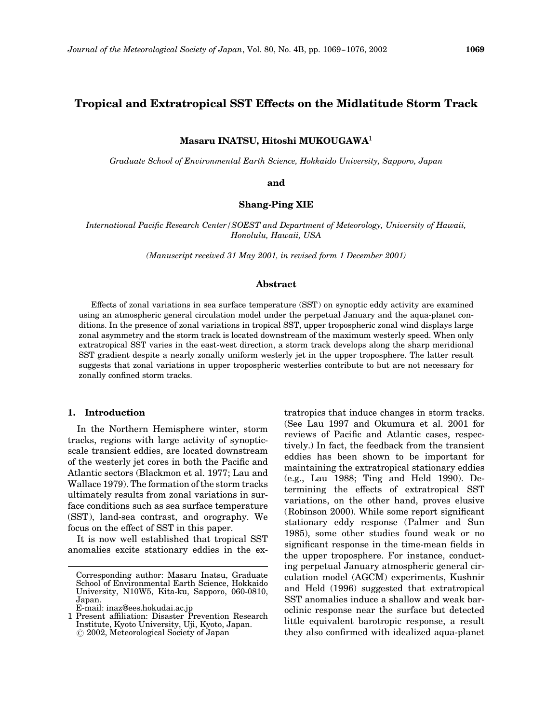# Tropical and Extratropical SST Effects on the Midlatitude Storm Track

## Masaru INATSU, Hitoshi MUKOUGAWA<sup>1</sup>

Graduate School of Environmental Earth Science, Hokkaido University, Sapporo, Japan

and

# Shang-Ping XIE

International Pacific Research Center/SOEST and Department of Meteorology, University of Hawaii, Honolulu, Hawaii, USA

(Manuscript received 31 May 2001, in revised form 1 December 2001)

#### Abstract

Effects of zonal variations in sea surface temperature (SST) on synoptic eddy activity are examined using an atmospheric general circulation model under the perpetual January and the aqua-planet conditions. In the presence of zonal variations in tropical SST, upper tropospheric zonal wind displays large zonal asymmetry and the storm track is located downstream of the maximum westerly speed. When only extratropical SST varies in the east-west direction, a storm track develops along the sharp meridional SST gradient despite a nearly zonally uniform westerly jet in the upper troposphere. The latter result suggests that zonal variations in upper tropospheric westerlies contribute to but are not necessary for zonally confined storm tracks.

#### 1. Introduction

In the Northern Hemisphere winter, storm tracks, regions with large activity of synopticscale transient eddies, are located downstream of the westerly jet cores in both the Pacific and Atlantic sectors (Blackmon et al. 1977; Lau and Wallace 1979). The formation of the storm tracks ultimately results from zonal variations in surface conditions such as sea surface temperature (SST), land-sea contrast, and orography. We focus on the effect of SST in this paper.

It is now well established that tropical SST anomalies excite stationary eddies in the extratropics that induce changes in storm tracks. (See Lau 1997 and Okumura et al. 2001 for reviews of Pacific and Atlantic cases, respectively.) In fact, the feedback from the transient eddies has been shown to be important for maintaining the extratropical stationary eddies (e.g., Lau 1988; Ting and Held 1990). Determining the effects of extratropical SST variations, on the other hand, proves elusive (Robinson 2000). While some report significant stationary eddy response (Palmer and Sun 1985), some other studies found weak or no significant response in the time-mean fields in the upper troposphere. For instance, conducting perpetual January atmospheric general circulation model (AGCM) experiments, Kushnir and Held (1996) suggested that extratropical SST anomalies induce a shallow and weak baroclinic response near the surface but detected little equivalent barotropic response, a result they also confirmed with idealized aqua-planet

Corresponding author: Masaru Inatsu, Graduate School of Environmental Earth Science, Hokkaido University, N10W5, Kita-ku, Sapporo, 060-0810, Japan.

E-mail: inaz@ees.hokudai.ac.jp

<sup>1</sup> Present affiliation: Disaster Prevention Research Institute, Kyoto University, Uji, Kyoto, Japan. ( 2002, Meteorological Society of Japan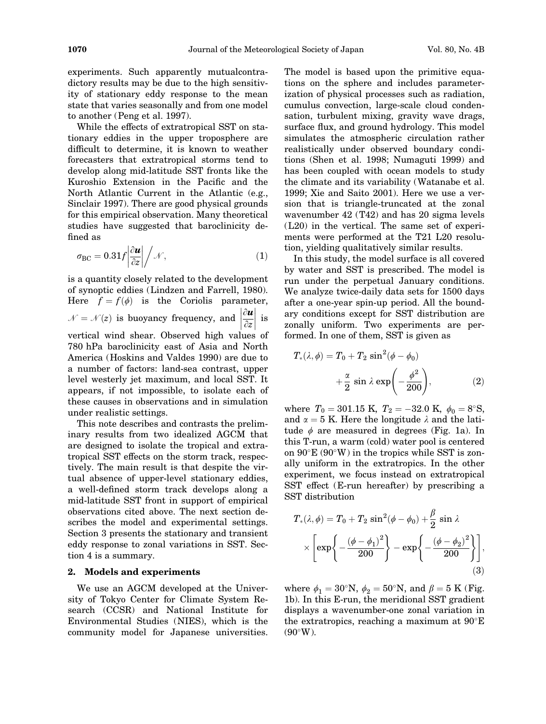experiments. Such apparently mutualcontradictory results may be due to the high sensitivity of stationary eddy response to the mean state that varies seasonally and from one model to another (Peng et al. 1997).

While the effects of extratropical SST on stationary eddies in the upper troposphere are difficult to determine, it is known to weather forecasters that extratropical storms tend to develop along mid-latitude SST fronts like the Kuroshio Extension in the Pacific and the North Atlantic Current in the Atlantic (e.g., Sinclair 1997). There are good physical grounds for this empirical observation. Many theoretical studies have suggested that baroclinicity defined as

$$
\sigma_{\rm BC} = 0.31 f \left| \frac{\partial \boldsymbol{u}}{\partial z} \right| / \mathcal{N}, \tag{1}
$$

is a quantity closely related to the development of synoptic eddies (Lindzen and Farrell, 1980). Here  $f = f(\phi)$  is the Coriolis parameter,  $\mathcal{N} = \mathcal{N}(z)$  is buoyancy frequency, and  $\left|\frac{\partial \boldsymbol{u}}{\partial z}\right|$  $\overline{\hspace{2mm}}$  $\begin{array}{c} \text{c.}, \ \text{i.s} \end{array}$ vertical wind shear. Observed high values of 780 hPa baroclinicity east of Asia and North America (Hoskins and Valdes 1990) are due to a number of factors: land-sea contrast, upper level westerly jet maximum, and local SST. It appears, if not impossible, to isolate each of these causes in observations and in simulation under realistic settings.

This note describes and contrasts the preliminary results from two idealized AGCM that are designed to isolate the tropical and extratropical SST effects on the storm track, respectively. The main result is that despite the virtual absence of upper-level stationary eddies, a well-defined storm track develops along a mid-latitude SST front in support of empirical observations cited above. The next section describes the model and experimental settings. Section 3 presents the stationary and transient eddy response to zonal variations in SST. Section 4 is a summary.

#### 2. Models and experiments

We use an AGCM developed at the University of Tokyo Center for Climate System Research (CCSR) and National Institute for Environmental Studies (NIES), which is the community model for Japanese universities.

The model is based upon the primitive equations on the sphere and includes parameterization of physical processes such as radiation, cumulus convection, large-scale cloud condensation, turbulent mixing, gravity wave drags, surface flux, and ground hydrology. This model simulates the atmospheric circulation rather realistically under observed boundary conditions (Shen et al. 1998; Numaguti 1999) and has been coupled with ocean models to study the climate and its variability (Watanabe et al. 1999; Xie and Saito 2001). Here we use a version that is triangle-truncated at the zonal wavenumber 42 (T42) and has 20 sigma levels (L20) in the vertical. The same set of experiments were performed at the T21 L20 resolution, yielding qualitatively similar results.

In this study, the model surface is all covered by water and SST is prescribed. The model is run under the perpetual January conditions. We analyze twice-daily data sets for 1500 days after a one-year spin-up period. All the boundary conditions except for SST distribution are zonally uniform. Two experiments are performed. In one of them, SST is given as

$$
T_*(\lambda, \phi) = T_0 + T_2 \sin^2(\phi - \phi_0)
$$
  
+  $\frac{\alpha}{2} \sin \lambda \exp\left(-\frac{\phi^2}{200}\right)$ , (2)

where  $T_0 = 301.15 \text{ K}$ ,  $T_2 = -32.0 \text{ K}$ ,  $\phi_0 = 8^\circ \text{S}$ , and  $\alpha = 5$  K. Here the longitude  $\lambda$  and the latitude  $\phi$  are measured in degrees (Fig. 1a). In this T-run, a warm (cold) water pool is centered on  $90^{\circ}E (90^{\circ}W)$  in the tropics while SST is zonally uniform in the extratropics. In the other experiment, we focus instead on extratropical SST effect (E-run hereafter) by prescribing a SST distribution

$$
T_{*}(\lambda, \phi) = T_0 + T_2 \sin^2(\phi - \phi_0) + \frac{\beta}{2} \sin \lambda
$$

$$
\times \left[ \exp\left\{ -\frac{(\phi - \phi_1)^2}{200} \right\} - \exp\left\{ -\frac{(\phi - \phi_2)^2}{200} \right\} \right],
$$
(3)

where  $\phi_1 = 30$ °N,  $\phi_2 = 50$ °N, and  $\beta = 5$  K (Fig. 1b). In this E-run, the meridional SST gradient displays a wavenumber-one zonal variation in the extratropics, reaching a maximum at  $90^{\circ}E$  $(90^{\circ} W)$ .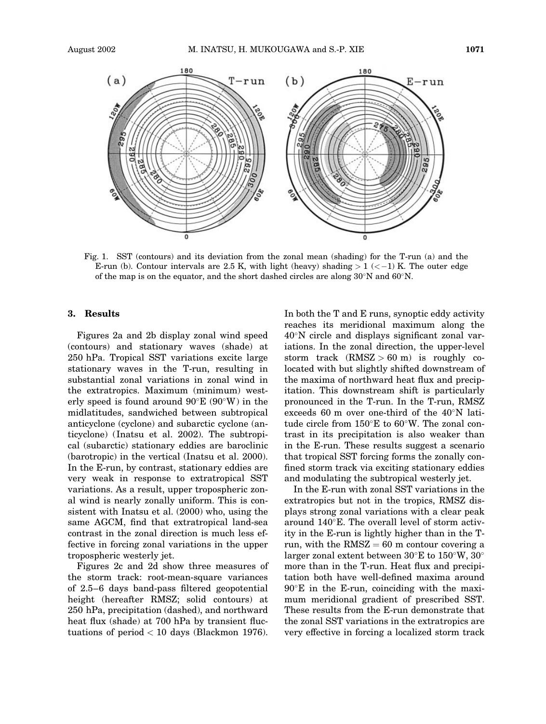

Fig. 1. SST (contours) and its deviation from the zonal mean (shading) for the T-run (a) and the E-run (b). Contour intervals are 2.5 K, with light (heavy) shading  $> 1$  ( $<-1$ ) K. The outer edge of the map is on the equator, and the short dashed circles are along  $30^{\circ}$ N and  $60^{\circ}$ N.

#### 3. Results

Figures 2a and 2b display zonal wind speed (contours) and stationary waves (shade) at 250 hPa. Tropical SST variations excite large stationary waves in the T-run, resulting in substantial zonal variations in zonal wind in the extratropics. Maximum (minimum) westerly speed is found around  $90^{\circ}E(90^{\circ}W)$  in the midlatitudes, sandwiched between subtropical anticyclone (cyclone) and subarctic cyclone (anticyclone) (Inatsu et al. 2002). The subtropical (subarctic) stationary eddies are baroclinic (barotropic) in the vertical (Inatsu et al. 2000). In the E-run, by contrast, stationary eddies are very weak in response to extratropical SST variations. As a result, upper tropospheric zonal wind is nearly zonally uniform. This is consistent with Inatsu et al. (2000) who, using the same AGCM, find that extratropical land-sea contrast in the zonal direction is much less effective in forcing zonal variations in the upper tropospheric westerly jet.

Figures 2c and 2d show three measures of the storm track: root-mean-square variances of 2.5–6 days band-pass filtered geopotential height (hereafter RMSZ; solid contours) at 250 hPa, precipitation (dashed), and northward heat flux (shade) at 700 hPa by transient fluctuations of period < 10 days (Blackmon 1976). In both the T and E runs, synoptic eddy activity reaches its meridional maximum along the  $40^{\circ}$ N circle and displays significant zonal variations. In the zonal direction, the upper-level storm track  $(RMSZ > 60 \text{ m})$  is roughly colocated with but slightly shifted downstream of the maxima of northward heat flux and precipitation. This downstream shift is particularly pronounced in the T-run. In the T-run, RMSZ exceeds 60 m over one-third of the  $40^{\circ}$ N latitude circle from  $150^{\circ}$ E to  $60^{\circ}$ W. The zonal contrast in its precipitation is also weaker than in the E-run. These results suggest a scenario that tropical SST forcing forms the zonally confined storm track via exciting stationary eddies and modulating the subtropical westerly jet.

In the E-run with zonal SST variations in the extratropics but not in the tropics, RMSZ displays strong zonal variations with a clear peak around  $140^{\circ}$ E. The overall level of storm activity in the E-run is lightly higher than in the Trun, with the  $RMSZ = 60$  m contour covering a larger zonal extent between  $30^{\circ}$ E to  $150^{\circ}$ W,  $30^{\circ}$ more than in the T-run. Heat flux and precipitation both have well-defined maxima around  $90^{\circ}$ E in the E-run, coinciding with the maximum meridional gradient of prescribed SST. These results from the E-run demonstrate that the zonal SST variations in the extratropics are very effective in forcing a localized storm track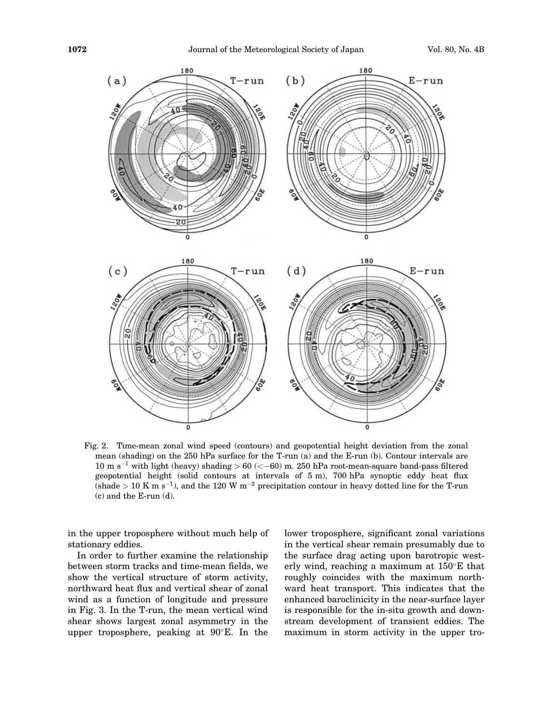

Fig. 2. Time-mean zonal wind speed (contours) and geopotential height deviation from the zonal mean (shading) on the 250 hPa surface for the T-run (a) and the E-run (b). Contour intervals are 10 m s<sup>-1</sup> with light (heavy) shading  $> 60$  ( $<-60$ ) m. 250 hPa root-mean-square band-pass filtered geopotential height (solid contours at intervals of 5 m), 700 hPa synoptic eddy heat flux (shade  $> 10$  K m s<sup>-1</sup>), and the 120 W m<sup>-2</sup> precipitation contour in heavy dotted line for the T-run (c) and the E-run (d).

in the upper troposphere without much help of stationary eddies.

In order to further examine the relationship between storm tracks and time-mean fields, we show the vertical structure of storm activity, northward heat flux and vertical shear of zonal wind as a function of longitude and pressure in Fig. 3. In the T-run, the mean vertical wind shear shows largest zonal asymmetry in the upper troposphere, peaking at  $90^{\circ}$ E. In the lower troposphere, significant zonal variations in the vertical shear remain presumably due to the surface drag acting upon barotropic westerly wind, reaching a maximum at  $150^{\circ}$ E that roughly coincides with the maximum northward heat transport. This indicates that the enhanced baroclinicity in the near-surface layer is responsible for the in-situ growth and downstream development of transient eddies. The maximum in storm activity in the upper tro-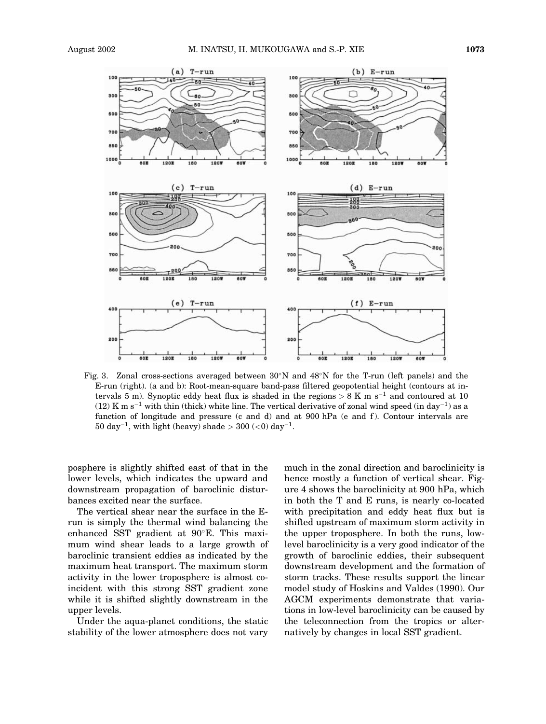

Fig. 3. Zonal cross-sections averaged between  $30^{\circ}$ N and  $48^{\circ}$ N for the T-run (left panels) and the E-run (right). (a and b): Root-mean-square band-pass filtered geopotential height (contours at intervals 5 m). Synoptic eddy heat flux is shaded in the regions  $> 8$  K m s<sup>-1</sup> and contoured at 10  $(12)$  K m s<sup>-1</sup> with thin (thick) white line. The vertical derivative of zonal wind speed (in day<sup>-1</sup>) as a function of longitude and pressure (c and d) and at 900 hPa (e and f). Contour intervals are 50 day<sup>-1</sup>, with light (heavy) shade > 300  $(<$ 0) day<sup>-1</sup>.

posphere is slightly shifted east of that in the lower levels, which indicates the upward and downstream propagation of baroclinic disturbances excited near the surface.

The vertical shear near the surface in the Erun is simply the thermal wind balancing the enhanced SST gradient at  $90^{\circ}$ E. This maximum wind shear leads to a large growth of baroclinic transient eddies as indicated by the maximum heat transport. The maximum storm activity in the lower troposphere is almost coincident with this strong SST gradient zone while it is shifted slightly downstream in the upper levels.

Under the aqua-planet conditions, the static stability of the lower atmosphere does not vary much in the zonal direction and baroclinicity is hence mostly a function of vertical shear. Figure 4 shows the baroclinicity at 900 hPa, which in both the T and E runs, is nearly co-located with precipitation and eddy heat flux but is shifted upstream of maximum storm activity in the upper troposphere. In both the runs, lowlevel baroclinicity is a very good indicator of the growth of baroclinic eddies, their subsequent downstream development and the formation of storm tracks. These results support the linear model study of Hoskins and Valdes (1990). Our AGCM experiments demonstrate that variations in low-level baroclinicity can be caused by the teleconnection from the tropics or alternatively by changes in local SST gradient.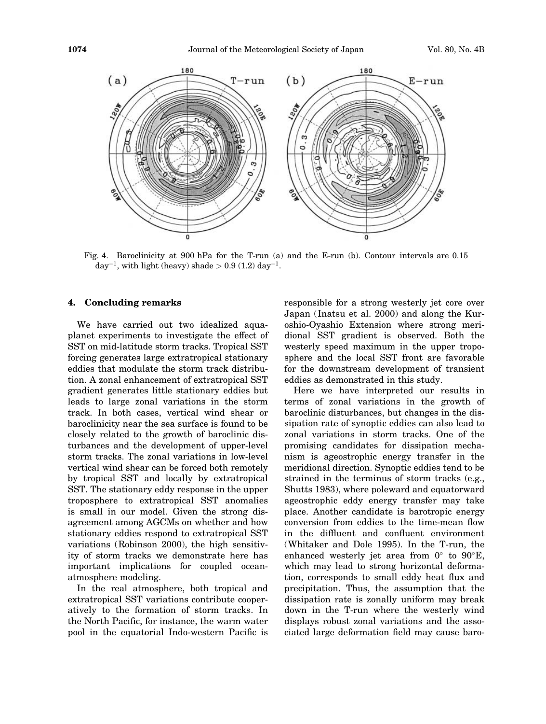

Fig. 4. Baroclinicity at 900 hPa for the T-run (a) and the E-run (b). Contour intervals are 0.15 day<sup>-1</sup>, with light (heavy) shade > 0.9 (1.2) day<sup>-1</sup>.

## 4. Concluding remarks

We have carried out two idealized aquaplanet experiments to investigate the effect of SST on mid-latitude storm tracks. Tropical SST forcing generates large extratropical stationary eddies that modulate the storm track distribution. A zonal enhancement of extratropical SST gradient generates little stationary eddies but leads to large zonal variations in the storm track. In both cases, vertical wind shear or baroclinicity near the sea surface is found to be closely related to the growth of baroclinic disturbances and the development of upper-level storm tracks. The zonal variations in low-level vertical wind shear can be forced both remotely by tropical SST and locally by extratropical SST. The stationary eddy response in the upper troposphere to extratropical SST anomalies is small in our model. Given the strong disagreement among AGCMs on whether and how stationary eddies respond to extratropical SST variations (Robinson 2000), the high sensitivity of storm tracks we demonstrate here has important implications for coupled oceanatmosphere modeling.

In the real atmosphere, both tropical and extratropical SST variations contribute cooperatively to the formation of storm tracks. In the North Pacific, for instance, the warm water pool in the equatorial Indo-western Pacific is responsible for a strong westerly jet core over Japan (Inatsu et al. 2000) and along the Kuroshio-Oyashio Extension where strong meridional SST gradient is observed. Both the westerly speed maximum in the upper troposphere and the local SST front are favorable for the downstream development of transient eddies as demonstrated in this study.

Here we have interpreted our results in terms of zonal variations in the growth of baroclinic disturbances, but changes in the dissipation rate of synoptic eddies can also lead to zonal variations in storm tracks. One of the promising candidates for dissipation mechanism is ageostrophic energy transfer in the meridional direction. Synoptic eddies tend to be strained in the terminus of storm tracks (e.g., Shutts 1983), where poleward and equatorward ageostrophic eddy energy transfer may take place. Another candidate is barotropic energy conversion from eddies to the time-mean flow in the diffluent and confluent environment (Whitaker and Dole 1995). In the T-run, the enhanced westerly jet area from  $0^{\circ}$  to  $90^{\circ}E$ , which may lead to strong horizontal deformation, corresponds to small eddy heat flux and precipitation. Thus, the assumption that the dissipation rate is zonally uniform may break down in the T-run where the westerly wind displays robust zonal variations and the associated large deformation field may cause baro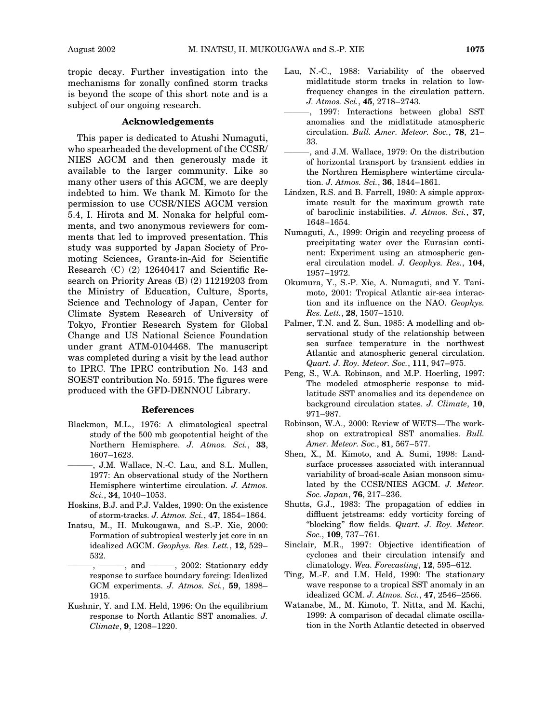tropic decay. Further investigation into the mechanisms for zonally confined storm tracks is beyond the scope of this short note and is a subject of our ongoing research.

#### Acknowledgements

This paper is dedicated to Atushi Numaguti, who spearheaded the development of the CCSR/ NIES AGCM and then generously made it available to the larger community. Like so many other users of this AGCM, we are deeply indebted to him. We thank M. Kimoto for the permission to use CCSR/NIES AGCM version 5.4, I. Hirota and M. Nonaka for helpful comments, and two anonymous reviewers for comments that led to improved presentation. This study was supported by Japan Society of Promoting Sciences, Grants-in-Aid for Scientific Research (C) (2) 12640417 and Scientific Research on Priority Areas (B) (2) 11219203 from the Ministry of Education, Culture, Sports, Science and Technology of Japan, Center for Climate System Research of University of Tokyo, Frontier Research System for Global Change and US National Science Foundation under grant ATM-0104468. The manuscript was completed during a visit by the lead author to IPRC. The IPRC contribution No. 143 and SOEST contribution No. 5915. The figures were produced with the GFD-DENNOU Library.

#### References

- Blackmon, M.L., 1976: A climatological spectral study of the 500 mb geopotential height of the Northern Hemisphere. J. Atmos. Sci., 33, 1607–1623.
	- -, J.M. Wallace, N.-C. Lau, and S.L. Mullen, 1977: An observational study of the Northern Hemisphere wintertime circulation. J. Atmos. Sci., 34, 1040–1053.
- Hoskins, B.J. and P.J. Valdes, 1990: On the existence of storm-tracks. J. Atmos. Sci., 47, 1854–1864.
- Inatsu, M., H. Mukougawa, and S.-P. Xie, 2000: Formation of subtropical westerly jet core in an idealized AGCM. Geophys. Res. Lett., 12, 529– 532.
- -, and --- , 2002: Stationary eddy response to surface boundary forcing: Idealized GCM experiments. J. Atmos. Sci., 59, 1898– 1915.
- Kushnir, Y. and I.M. Held, 1996: On the equilibrium response to North Atlantic SST anomalies. J. Climate, 9, 1208–1220.
- Lau, N.-C., 1988: Variability of the observed midlatitude storm tracks in relation to lowfrequency changes in the circulation pattern. J. Atmos. Sci., 45, 2718–2743.
- ———, 1997: Interactions between global SST anomalies and the midlatitude atmospheric circulation. Bull. Amer. Meteor. Soc., 78, 21– 33.
- , and J.M. Wallace, 1979: On the distribution of horizontal transport by transient eddies in the Northren Hemisphere wintertime circulation. J. Atmos. Sci., 36, 1844-1861.
- Lindzen, R.S. and B. Farrell, 1980: A simple approximate result for the maximum growth rate of baroclinic instabilities. J. Atmos. Sci., 37, 1648–1654.
- Numaguti, A., 1999: Origin and recycling process of precipitating water over the Eurasian continent: Experiment using an atmospheric general circulation model. J. Geophys. Res., 104, 1957–1972.
- Okumura, Y., S.-P. Xie, A. Numaguti, and Y. Tanimoto, 2001: Tropical Atlantic air-sea interaction and its influence on the NAO. Geophys. Res. Lett., 28, 1507–1510.
- Palmer, T.N. and Z. Sun, 1985: A modelling and observational study of the relationship between sea surface temperature in the northwest Atlantic and atmospheric general circulation. Quart. J. Roy. Meteor. Soc., 111, 947–975.
- Peng, S., W.A. Robinson, and M.P. Hoerling, 1997: The modeled atmospheric response to midlatitude SST anomalies and its dependence on background circulation states. J. Climate, 10, 971–987.
- Robinson, W.A., 2000: Review of WETS—The workshop on extratropical SST anomalies. Bull. Amer. Meteor. Soc., 81, 567–577.
- Shen, X., M. Kimoto, and A. Sumi, 1998: Landsurface processes associated with interannual variability of broad-scale Asian monsoon simulated by the CCSR/NIES AGCM. J. Meteor. Soc. Japan, 76, 217–236.
- Shutts, G.J., 1983: The propagation of eddies in diffluent jetstreams: eddy vorticity forcing of "blocking" flow fields. Quart. J. Roy. Meteor. Soc., 109, 737–761.
- Sinclair, M.R., 1997: Objective identification of cyclones and their circulation intensify and climatology. Wea. Forecasting, 12, 595–612.
- Ting, M.-F. and I.M. Held, 1990: The stationary wave response to a tropical SST anomaly in an idealized GCM. J. Atmos. Sci., 47, 2546–2566.
- Watanabe, M., M. Kimoto, T. Nitta, and M. Kachi, 1999: A comparison of decadal climate oscillation in the North Atlantic detected in observed